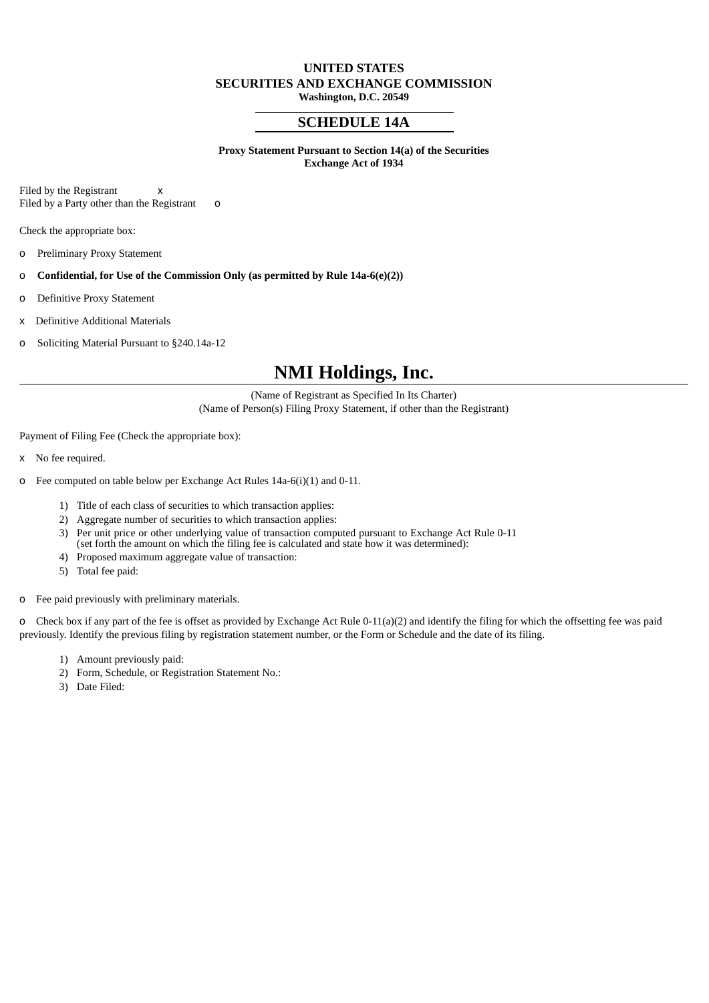#### **UNITED STATES SECURITIES AND EXCHANGE COMMISSION Washington, D.C. 20549**

### **SCHEDULE 14A**

#### **Proxy Statement Pursuant to Section 14(a) of the Securities Exchange Act of 1934**

Filed by the Registrant x Filed by a Party other than the Registrant o

Check the appropriate box:

- o Preliminary Proxy Statement
- o **Confidential, for Use of the Commission Only (as permitted by Rule 14a-6(e)(2))**
- o Definitive Proxy Statement
- x Definitive Additional Materials
- o Soliciting Material Pursuant to §240.14a-12

# **NMI Holdings, Inc.**

(Name of Registrant as Specified In Its Charter) (Name of Person(s) Filing Proxy Statement, if other than the Registrant)

Payment of Filing Fee (Check the appropriate box):

- x No fee required.
- o Fee computed on table below per Exchange Act Rules 14a-6(i)(1) and 0-11.
	- 1) Title of each class of securities to which transaction applies:
	- 2) Aggregate number of securities to which transaction applies:
	- 3) Per unit price or other underlying value of transaction computed pursuant to Exchange Act Rule 0-11
	- (set forth the amount on which the filing fee is calculated and state how it was determined):
	- 4) Proposed maximum aggregate value of transaction:
	- 5) Total fee paid:
- o Fee paid previously with preliminary materials.

o Check box if any part of the fee is offset as provided by Exchange Act Rule 0-11(a)(2) and identify the filing for which the offsetting fee was paid previously. Identify the previous filing by registration statement number, or the Form or Schedule and the date of its filing.

- 1) Amount previously paid:
- 2) Form, Schedule, or Registration Statement No.:
- 3) Date Filed: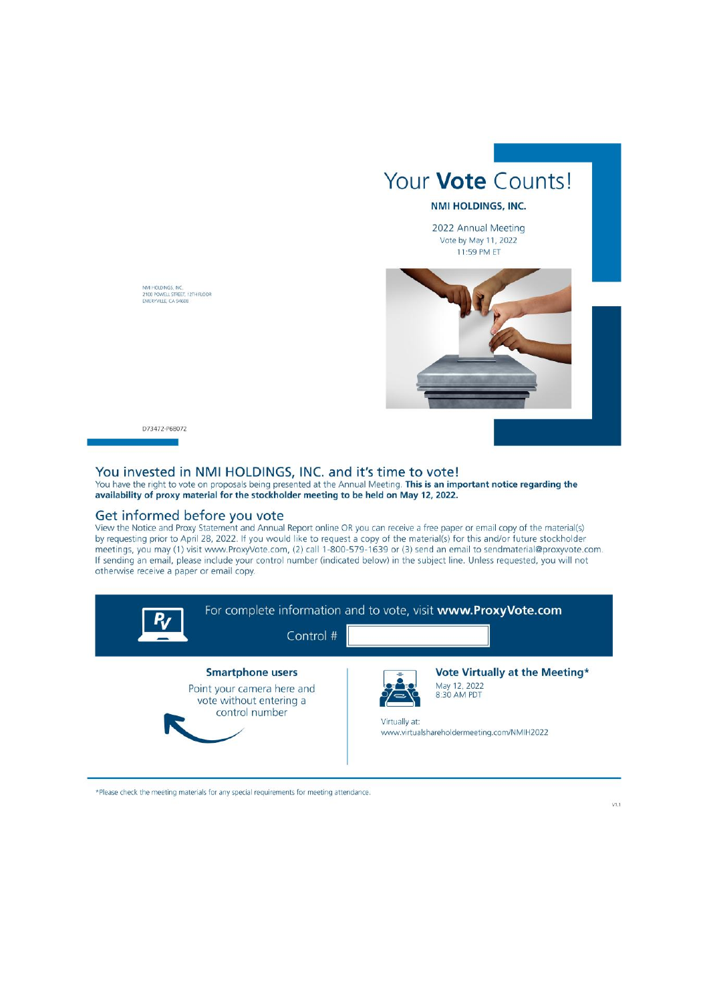

NMI HOLDINGS, INC.<br>2100 POWELL STREET, 12TH FLOOR<br>EMERYVILLE, CA 94608



D73472-P68072

#### You invested in NMI HOLDINGS, INC. and it's time to vote!

You have the right to vote on proposals being presented at the Annual Meeting. This is an important notice regarding the availability of proxy material for the stockholder meeting to be held on May 12, 2022.

### Get informed before you vote

View the Notice and Proxy Statement and Annual Report online OR you can receive a free paper or email copy of the material(s) by requesting prior to April 28, 2022. If you would like to request a copy of the material(s) for this and/or future stockholder meetings, you may (1) visit www.ProxyVote.com, (2) call 1-800-579-1639 or (3) send an email to sendmaterial@proxyvote.com. If sending an email, please include your control number (indicated below) in the subject line. Unless requested, you will not otherwise receive a paper or email copy.



\*Please check the meeting materials for any special requirements for meeting attendance.